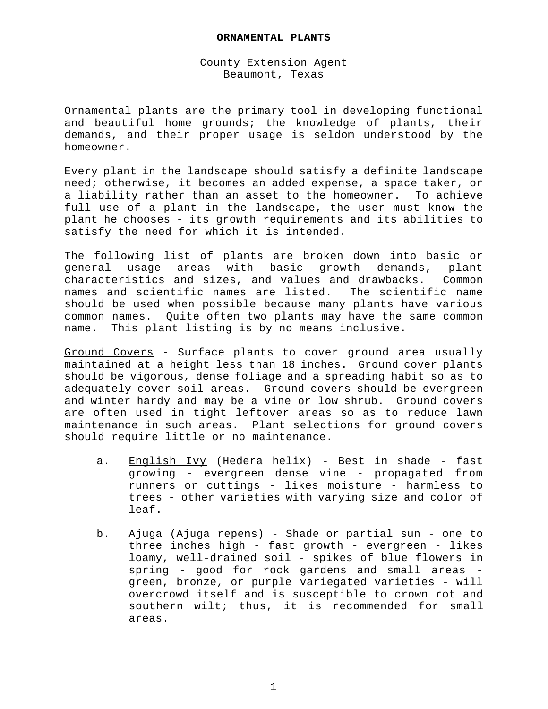## **ORNAMENTAL PLANTS**

## County Extension Agent Beaumont, Texas

Ornamental plants are the primary tool in developing functional and beautiful home grounds; the knowledge of plants, their demands, and their proper usage is seldom understood by the homeowner.

Every plant in the landscape should satisfy a definite landscape need; otherwise, it becomes an added expense, a space taker, or a liability rather than an asset to the homeowner. To achieve full use of a plant in the landscape, the user must know the plant he chooses - its growth requirements and its abilities to satisfy the need for which it is intended.

The following list of plants are broken down into basic or general usage areas with basic growth demands, plant characteristics and sizes, and values and drawbacks. Common names and scientific names are listed. The scientific name should be used when possible because many plants have various common names. Quite often two plants may have the same common name. This plant listing is by no means inclusive.

Ground Covers - Surface plants to cover ground area usually maintained at a height less than 18 inches. Ground cover plants should be vigorous, dense foliage and a spreading habit so as to adequately cover soil areas. Ground covers should be evergreen and winter hardy and may be a vine or low shrub. Ground covers are often used in tight leftover areas so as to reduce lawn maintenance in such areas. Plant selections for ground covers should require little or no maintenance.

- a. English Ivy (Hedera helix) Best in shade fast growing - evergreen dense vine - propagated from runners or cuttings - likes moisture - harmless to trees - other varieties with varying size and color of leaf.
- b. Ajuga (Ajuga repens) Shade or partial sun one to three inches high - fast growth - evergreen - likes loamy, well-drained soil - spikes of blue flowers in spring - good for rock gardens and small areas green, bronze, or purple variegated varieties - will overcrowd itself and is susceptible to crown rot and southern wilt; thus, it is recommended for small areas.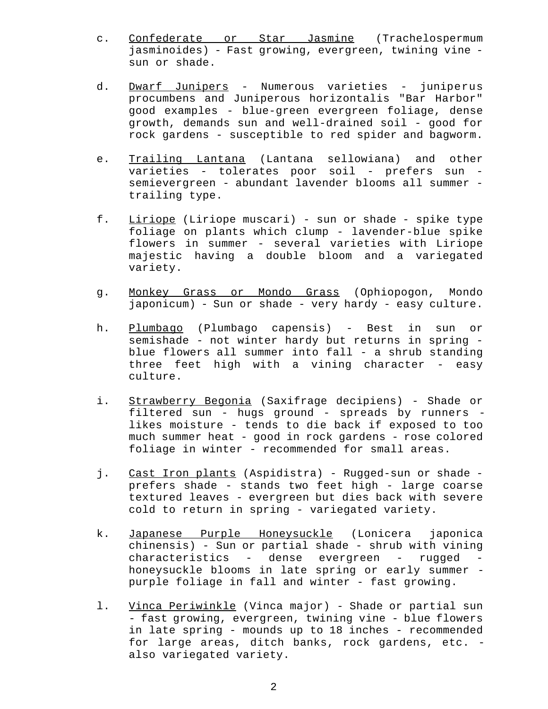- c. Confederate or Star Jasmine (Trachelospermum jasminoides) - Fast growing, evergreen, twining vine sun or shade.
- d. Dwarf Junipers Numerous varieties juniperus procumbens and Juniperous horizontalis "Bar Harbor" good examples - blue-green evergreen foliage, dense growth, demands sun and well-drained soil - good for rock gardens - susceptible to red spider and bagworm.
- e. Trailing Lantana (Lantana sellowiana) and other varieties - tolerates poor soil - prefers sun semievergreen - abundant lavender blooms all summer trailing type.
- f. Liriope (Liriope muscari) sun or shade spike type foliage on plants which clump - lavender-blue spike flowers in summer - several varieties with Liriope majestic having a double bloom and a variegated variety.
- g. Monkey Grass or Mondo Grass (Ophiopogon, Mondo japonicum) - Sun or shade - very hardy - easy culture.
- h. Plumbago (Plumbago capensis) Best in sun or semishade - not winter hardy but returns in spring blue flowers all summer into fall - a shrub standing three feet high with a vining character - easy culture.
- i. Strawberry Begonia (Saxifrage decipiens) Shade or filtered sun - hugs ground - spreads by runners likes moisture - tends to die back if exposed to too much summer heat - good in rock gardens - rose colored foliage in winter - recommended for small areas.
- j. Cast Iron plants (Aspidistra) Rugged-sun or shade prefers shade - stands two feet high - large coarse textured leaves - evergreen but dies back with severe cold to return in spring - variegated variety.
- k. Japanese Purple Honeysuckle (Lonicera japonica chinensis) - Sun or partial shade - shrub with vining characteristics - dense evergreen - rugged honeysuckle blooms in late spring or early summer purple foliage in fall and winter - fast growing.
- l. Vinca Periwinkle (Vinca major) Shade or partial sun - fast growing, evergreen, twining vine - blue flowers in late spring - mounds up to 18 inches - recommended for large areas, ditch banks, rock gardens, etc. also variegated variety.